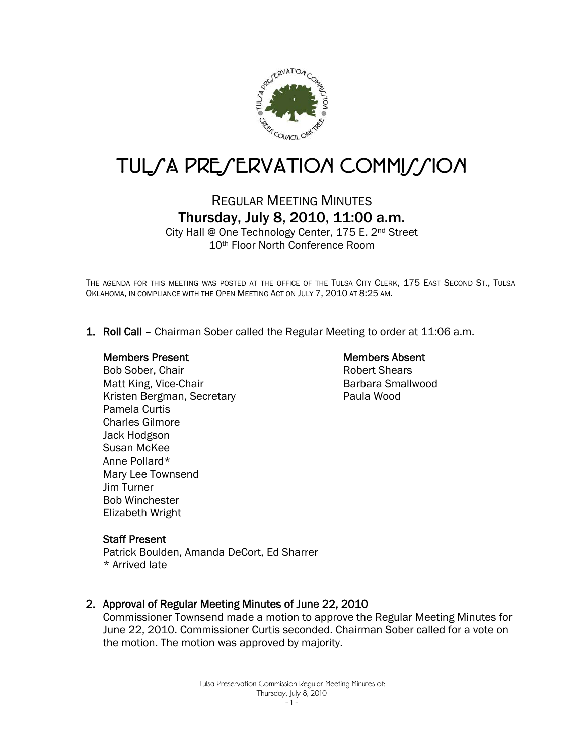

# TUL/A PRE/ERVATION COMMI//ION

# REGULAR MEETING MINUTES Thursday, July 8, 2010, 11:00 a.m.

City Hall @ One Technology Center, 175 E. 2nd Street 10th Floor North Conference Room

THE AGENDA FOR THIS MEETING WAS POSTED AT THE OFFICE OF THE TULSA CITY CLERK, 175 EAST SECOND ST., TULSA OKLAHOMA, IN COMPLIANCE WITH THE OPEN MEETING ACT ON JULY 7, 2010 AT 8:25 AM.

1. Roll Call – Chairman Sober called the Regular Meeting to order at 11:06 a.m.

### Members Present

# Bob Sober, Chair Matt King, Vice-Chair Kristen Bergman, Secretary Pamela Curtis Charles Gilmore Jack Hodgson Susan McKee Anne Pollard\* Mary Lee Townsend Jim Turner Bob Winchester Elizabeth Wright

## Members Absent

Robert Shears Barbara Smallwood Paula Wood

## Staff Present

Patrick Boulden, Amanda DeCort, Ed Sharrer \* Arrived late

## 2. Approval of Regular Meeting Minutes of June 22, 2010

Commissioner Townsend made a motion to approve the Regular Meeting Minutes for June 22, 2010. Commissioner Curtis seconded. Chairman Sober called for a vote on the motion. The motion was approved by majority.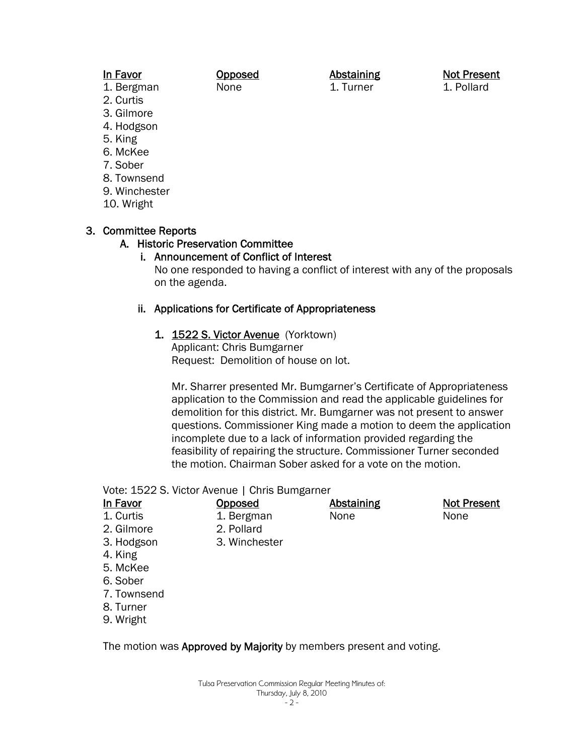# In Favor

1. Bergman

- 2. Curtis
- 3. Gilmore
- 4. Hodgson
- 5. King
- 6. McKee
- 7. Sober
- 8. Townsend
- 9. Winchester
- 10. Wright

# 3. Committee Reports

## A. Historic Preservation Committee

# i. Announcement of Conflict of Interest

Opposed None

No one responded to having a conflict of interest with any of the proposals on the agenda.

## ii. Applications for Certificate of Appropriateness

1. 1522 S. Victor Avenue (Yorktown) Applicant: Chris Bumgarner

Request: Demolition of house on lot.

Mr. Sharrer presented Mr. Bumgarner's Certificate of Appropriateness application to the Commission and read the applicable guidelines for demolition for this district. Mr. Bumgarner was not present to answer questions. Commissioner King made a motion to deem the application incomplete due to a lack of information provided regarding the feasibility of repairing the structure. Commissioner Turner seconded the motion. Chairman Sober asked for a vote on the motion.

> **Abstaining** None

## Vote: 1522 S. Victor Avenue | Chris Bumgarner

| $\overline{\phantom{a}}$<br>Ш | ., | ιvο<br>ır |  |
|-------------------------------|----|-----------|--|
|                               |    |           |  |

1. Curtis 2. Gilmore

2. Pollard

**Opposed** 1. Bergman

3. Winchester

- 3. Hodgson
- 4. King
- 5. McKee
- 6. Sober
- 7. Townsend
- 8. Turner
- 9. Wright

The motion was Approved by Majority by members present and voting.

### Thursday, July 8, 2010 - 2 -

Tulsa Preservation Commission Regular Meeting Minutes of:

Abstaining 1. Turner

Not Present 1. Pollard

Not Present

None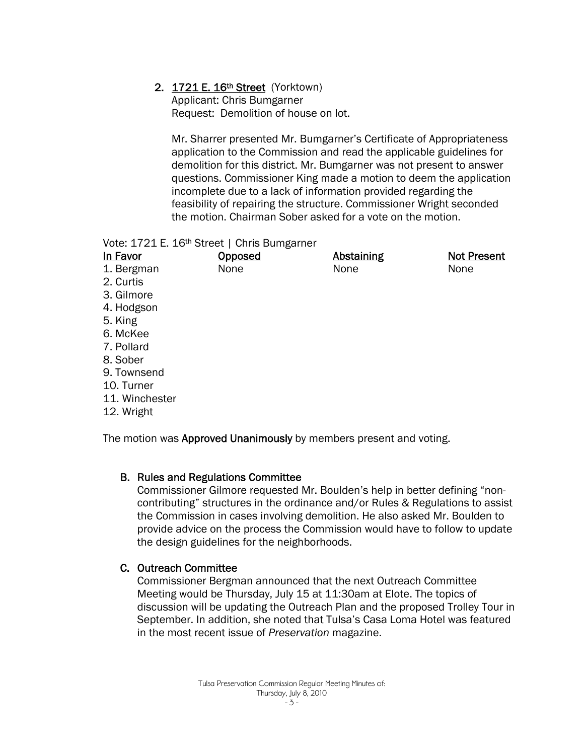# 2. 1721 E. 16th Street (Yorktown)

Applicant: Chris Bumgarner Request: Demolition of house on lot.

Mr. Sharrer presented Mr. Bumgarner's Certificate of Appropriateness application to the Commission and read the applicable guidelines for demolition for this district. Mr. Bumgarner was not present to answer questions. Commissioner King made a motion to deem the application incomplete due to a lack of information provided regarding the feasibility of repairing the structure. Commissioner Wright seconded the motion. Chairman Sober asked for a vote on the motion.

Vote: 1721 E. 16<sup>th</sup> Street | Chris Bumgarner

| In Favor       | Opposed | <b>Abstaining</b> | <b>Not Present</b> |
|----------------|---------|-------------------|--------------------|
| 1. Bergman     | None    | None              | None               |
| 2. Curtis      |         |                   |                    |
| 3. Gilmore     |         |                   |                    |
| 4. Hodgson     |         |                   |                    |
| 5. King        |         |                   |                    |
| 6. McKee       |         |                   |                    |
| 7. Pollard     |         |                   |                    |
| 8. Sober       |         |                   |                    |
| 9. Townsend    |         |                   |                    |
| 10. Turner     |         |                   |                    |
| 11. Winchester |         |                   |                    |
|                |         |                   |                    |

12. Wright

The motion was Approved Unanimously by members present and voting.

# B. Rules and Regulations Committee

Commissioner Gilmore requested Mr. Boulden's help in better defining "noncontributing" structures in the ordinance and/or Rules & Regulations to assist the Commission in cases involving demolition. He also asked Mr. Boulden to provide advice on the process the Commission would have to follow to update the design guidelines for the neighborhoods.

# C. Outreach Committee

Commissioner Bergman announced that the next Outreach Committee Meeting would be Thursday, July 15 at 11:30am at Elote. The topics of discussion will be updating the Outreach Plan and the proposed Trolley Tour in September. In addition, she noted that Tulsa's Casa Loma Hotel was featured in the most recent issue of *Preservation* magazine.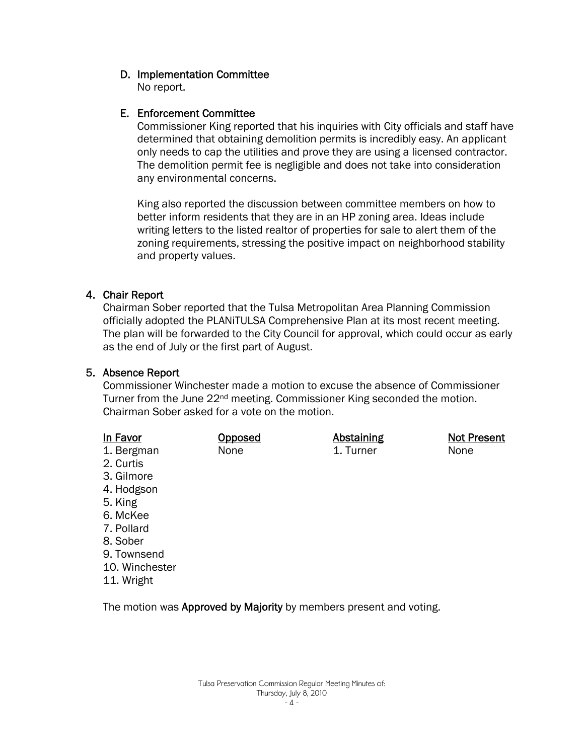# D. Implementation Committee

No report.

# E. Enforcement Committee

Commissioner King reported that his inquiries with City officials and staff have determined that obtaining demolition permits is incredibly easy. An applicant only needs to cap the utilities and prove they are using a licensed contractor. The demolition permit fee is negligible and does not take into consideration any environmental concerns.

King also reported the discussion between committee members on how to better inform residents that they are in an HP zoning area. Ideas include writing letters to the listed realtor of properties for sale to alert them of the zoning requirements, stressing the positive impact on neighborhood stability and property values.

# 4. Chair Report

Chairman Sober reported that the Tulsa Metropolitan Area Planning Commission officially adopted the PLANiTULSA Comprehensive Plan at its most recent meeting. The plan will be forwarded to the City Council for approval, which could occur as early as the end of July or the first part of August.

# 5. Absence Report

Commissioner Winchester made a motion to excuse the absence of Commissioner Turner from the June 22<sup>nd</sup> meeting. Commissioner King seconded the motion. Chairman Sober asked for a vote on the motion.

| In Favor       | <u>Opposed</u> | <b>Abstaining</b> | <b>Not Present</b> |
|----------------|----------------|-------------------|--------------------|
| 1. Bergman     | None           | 1. Turner         | None               |
| 2. Curtis      |                |                   |                    |
| 3. Gilmore     |                |                   |                    |
| 4. Hodgson     |                |                   |                    |
| 5. King        |                |                   |                    |
| 6. McKee       |                |                   |                    |
| 7. Pollard     |                |                   |                    |
| 8. Sober       |                |                   |                    |
| 9. Townsend    |                |                   |                    |
| 10. Winchester |                |                   |                    |
| 11. Wright     |                |                   |                    |

The motion was Approved by Majority by members present and voting.